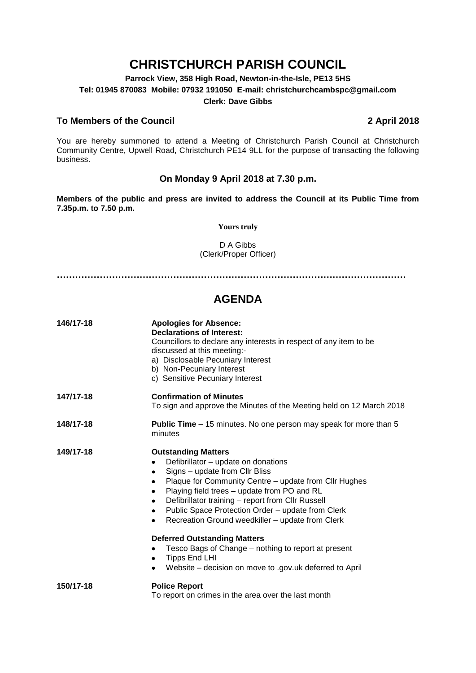# **CHRISTCHURCH PARISH COUNCIL**

**Parrock View, 358 High Road, Newton-in-the-Isle, PE13 5HS Tel: 01945 870083 Mobile: 07932 191050 E-mail: christchurchcambspc@gmail.com Clerk: Dave Gibbs**

### **To Members of the Council 2 April 2018**

You are hereby summoned to attend a Meeting of Christchurch Parish Council at Christchurch Community Centre, Upwell Road, Christchurch PE14 9LL for the purpose of transacting the following business.

#### **On Monday 9 April 2018 at 7.30 p.m.**

**Members of the public and press are invited to address the Council at its Public Time from 7.35p.m. to 7.50 p.m.** 

#### **Yours truly**

D A Gibbs (Clerk/Proper Officer)

**……………………………………………………………………………………………………**

## **AGENDA**

| 146/17-18 | <b>Apologies for Absence:</b><br><b>Declarations of Interest:</b><br>Councillors to declare any interests in respect of any item to be<br>discussed at this meeting:-<br>a) Disclosable Pecuniary Interest<br>b) Non-Pecuniary Interest<br>c) Sensitive Pecuniary Interest                                                                                                               |
|-----------|------------------------------------------------------------------------------------------------------------------------------------------------------------------------------------------------------------------------------------------------------------------------------------------------------------------------------------------------------------------------------------------|
| 147/17-18 | <b>Confirmation of Minutes</b><br>To sign and approve the Minutes of the Meeting held on 12 March 2018                                                                                                                                                                                                                                                                                   |
| 148/17-18 | <b>Public Time</b> – 15 minutes. No one person may speak for more than 5<br>minutes                                                                                                                                                                                                                                                                                                      |
| 149/17-18 | <b>Outstanding Matters</b><br>Defibrillator - update on donations<br>Signs - update from Cllr Bliss<br>Plaque for Community Centre - update from Cllr Hughes<br>٠<br>Playing field trees - update from PO and RL<br>٠<br>Defibrillator training - report from Cllr Russell<br>Public Space Protection Order - update from Clerk<br>Recreation Ground weedkiller - update from Clerk<br>٠ |
|           | <b>Deferred Outstanding Matters</b><br>Tesco Bags of Change – nothing to report at present<br><b>Tipps End LHI</b><br>Website – decision on move to .gov.uk deferred to April                                                                                                                                                                                                            |
| 150/17-18 | <b>Police Report</b><br>To report on crimes in the area over the last month                                                                                                                                                                                                                                                                                                              |